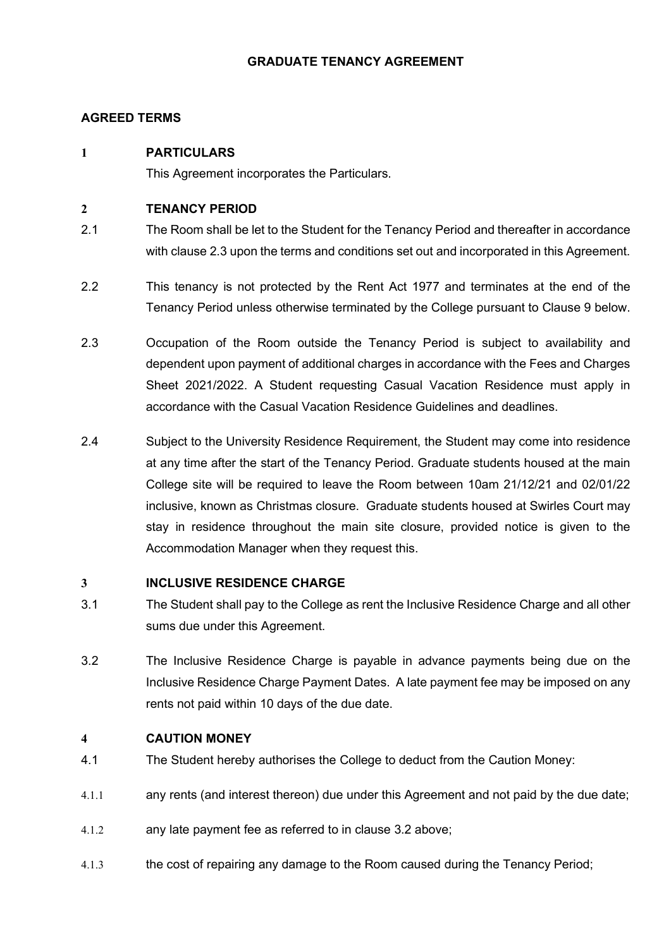# GRADUATE TENANCY AGREEMENT

# AGREED TERMS

# 1 PARTICULARS

This Agreement incorporates the Particulars.

# 2 TENANCY PERIOD

- 2.1 The Room shall be let to the Student for the Tenancy Period and thereafter in accordance with clause 2.3 upon the terms and conditions set out and incorporated in this Agreement.
- 2.2 This tenancy is not protected by the Rent Act 1977 and terminates at the end of the Tenancy Period unless otherwise terminated by the College pursuant to Clause 9 below.
- 2.3 Occupation of the Room outside the Tenancy Period is subject to availability and dependent upon payment of additional charges in accordance with the Fees and Charges Sheet 2021/2022. A Student requesting Casual Vacation Residence must apply in accordance with the Casual Vacation Residence Guidelines and deadlines.
- 2.4 Subject to the University Residence Requirement, the Student may come into residence at any time after the start of the Tenancy Period. Graduate students housed at the main College site will be required to leave the Room between 10am 21/12/21 and 02/01/22 inclusive, known as Christmas closure. Graduate students housed at Swirles Court may stay in residence throughout the main site closure, provided notice is given to the Accommodation Manager when they request this.

## 3 INCLUSIVE RESIDENCE CHARGE

- 3.1 The Student shall pay to the College as rent the Inclusive Residence Charge and all other sums due under this Agreement.
- 3.2 The Inclusive Residence Charge is payable in advance payments being due on the Inclusive Residence Charge Payment Dates. A late payment fee may be imposed on any rents not paid within 10 days of the due date.

# 4 CAUTION MONEY

- 4.1 The Student hereby authorises the College to deduct from the Caution Money:
- 4.1.1 any rents (and interest thereon) due under this Agreement and not paid by the due date;
- 4.1.2 any late payment fee as referred to in clause 3.2 above;
- 4.1.3 the cost of repairing any damage to the Room caused during the Tenancy Period;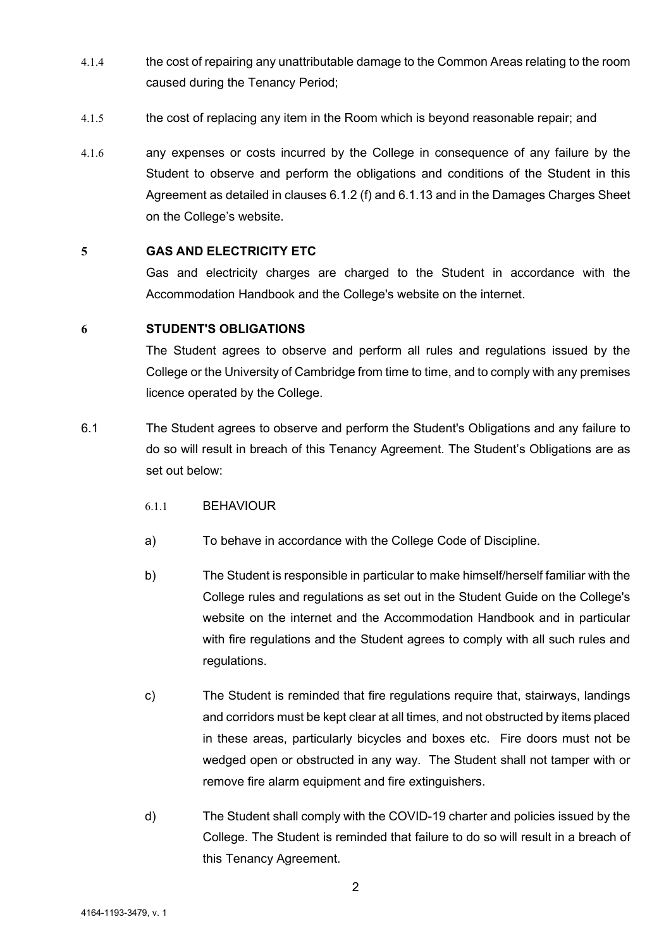- 4.1.4 the cost of repairing any unattributable damage to the Common Areas relating to the room caused during the Tenancy Period;
- 4.1.5 the cost of replacing any item in the Room which is beyond reasonable repair; and
- 4.1.6 any expenses or costs incurred by the College in consequence of any failure by the Student to observe and perform the obligations and conditions of the Student in this Agreement as detailed in clauses 6.1.2 (f) and 6.1.13 and in the Damages Charges Sheet on the College's website.

## 5 GAS AND ELECTRICITY ETC

Gas and electricity charges are charged to the Student in accordance with the Accommodation Handbook and the College's website on the internet.

### 6 STUDENT'S OBLIGATIONS

The Student agrees to observe and perform all rules and regulations issued by the College or the University of Cambridge from time to time, and to comply with any premises licence operated by the College.

- 6.1 The Student agrees to observe and perform the Student's Obligations and any failure to do so will result in breach of this Tenancy Agreement. The Student's Obligations are as set out below:
	- 6.1.1 BEHAVIOUR
	- a) To behave in accordance with the College Code of Discipline.
	- b) The Student is responsible in particular to make himself/herself familiar with the College rules and regulations as set out in the Student Guide on the College's website on the internet and the Accommodation Handbook and in particular with fire regulations and the Student agrees to comply with all such rules and regulations.
	- c) The Student is reminded that fire regulations require that, stairways, landings and corridors must be kept clear at all times, and not obstructed by items placed in these areas, particularly bicycles and boxes etc. Fire doors must not be wedged open or obstructed in any way. The Student shall not tamper with or remove fire alarm equipment and fire extinguishers.
	- d) The Student shall comply with the COVID-19 charter and policies issued by the College. The Student is reminded that failure to do so will result in a breach of this Tenancy Agreement.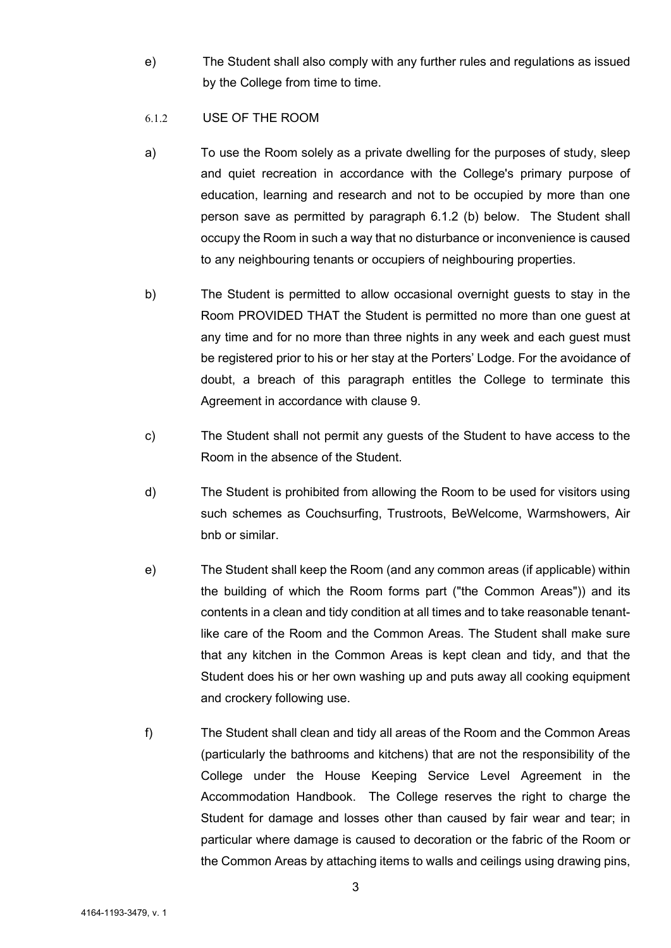e) The Student shall also comply with any further rules and regulations as issued by the College from time to time.

## 6.1.2 USE OF THE ROOM

- a) To use the Room solely as a private dwelling for the purposes of study, sleep and quiet recreation in accordance with the College's primary purpose of education, learning and research and not to be occupied by more than one person save as permitted by paragraph 6.1.2 (b) below. The Student shall occupy the Room in such a way that no disturbance or inconvenience is caused to any neighbouring tenants or occupiers of neighbouring properties.
- b) The Student is permitted to allow occasional overnight guests to stay in the Room PROVIDED THAT the Student is permitted no more than one guest at any time and for no more than three nights in any week and each guest must be registered prior to his or her stay at the Porters' Lodge. For the avoidance of doubt, a breach of this paragraph entitles the College to terminate this Agreement in accordance with clause 9.
- c) The Student shall not permit any guests of the Student to have access to the Room in the absence of the Student.
- d) The Student is prohibited from allowing the Room to be used for visitors using such schemes as Couchsurfing, Trustroots, BeWelcome, Warmshowers, Air bnb or similar.
- e) The Student shall keep the Room (and any common areas (if applicable) within the building of which the Room forms part ("the Common Areas")) and its contents in a clean and tidy condition at all times and to take reasonable tenantlike care of the Room and the Common Areas. The Student shall make sure that any kitchen in the Common Areas is kept clean and tidy, and that the Student does his or her own washing up and puts away all cooking equipment and crockery following use.
- f) The Student shall clean and tidy all areas of the Room and the Common Areas (particularly the bathrooms and kitchens) that are not the responsibility of the College under the House Keeping Service Level Agreement in the Accommodation Handbook. The College reserves the right to charge the Student for damage and losses other than caused by fair wear and tear; in particular where damage is caused to decoration or the fabric of the Room or the Common Areas by attaching items to walls and ceilings using drawing pins,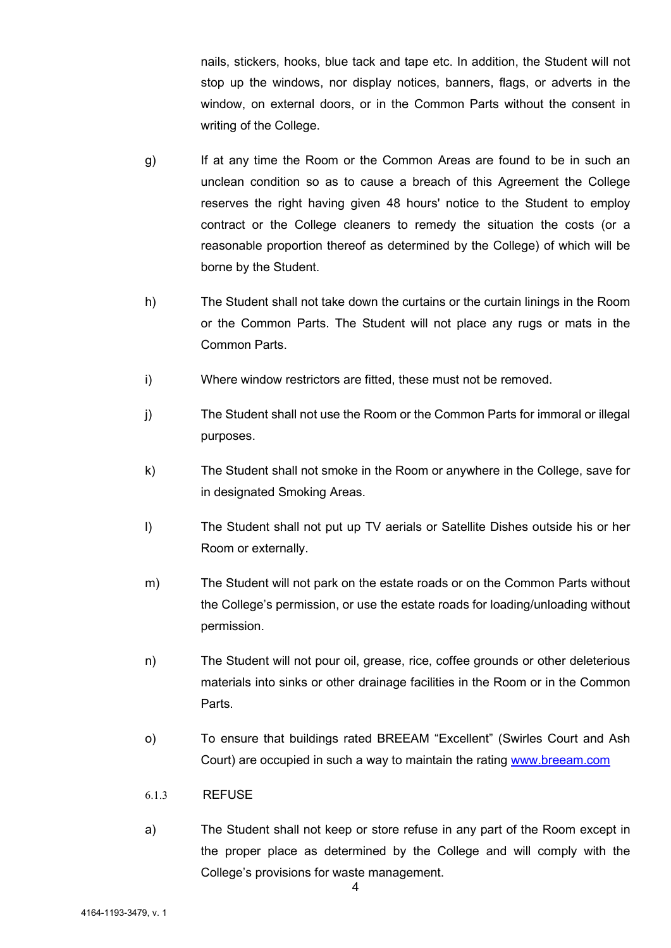nails, stickers, hooks, blue tack and tape etc. In addition, the Student will not stop up the windows, nor display notices, banners, flags, or adverts in the window, on external doors, or in the Common Parts without the consent in writing of the College.

- g) If at any time the Room or the Common Areas are found to be in such an unclean condition so as to cause a breach of this Agreement the College reserves the right having given 48 hours' notice to the Student to employ contract or the College cleaners to remedy the situation the costs (or a reasonable proportion thereof as determined by the College) of which will be borne by the Student.
- h) The Student shall not take down the curtains or the curtain linings in the Room or the Common Parts. The Student will not place any rugs or mats in the Common Parts.
- i) Where window restrictors are fitted, these must not be removed.
- j) The Student shall not use the Room or the Common Parts for immoral or illegal purposes.
- k) The Student shall not smoke in the Room or anywhere in the College, save for in designated Smoking Areas.
- l) The Student shall not put up TV aerials or Satellite Dishes outside his or her Room or externally.
- m) The Student will not park on the estate roads or on the Common Parts without the College's permission, or use the estate roads for loading/unloading without permission.
- n) The Student will not pour oil, grease, rice, coffee grounds or other deleterious materials into sinks or other drainage facilities in the Room or in the Common Parts.
- o) To ensure that buildings rated BREEAM "Excellent" (Swirles Court and Ash Court) are occupied in such a way to maintain the rating www.breeam.com
- 6.1.3 REFUSE
- a) The Student shall not keep or store refuse in any part of the Room except in the proper place as determined by the College and will comply with the College's provisions for waste management.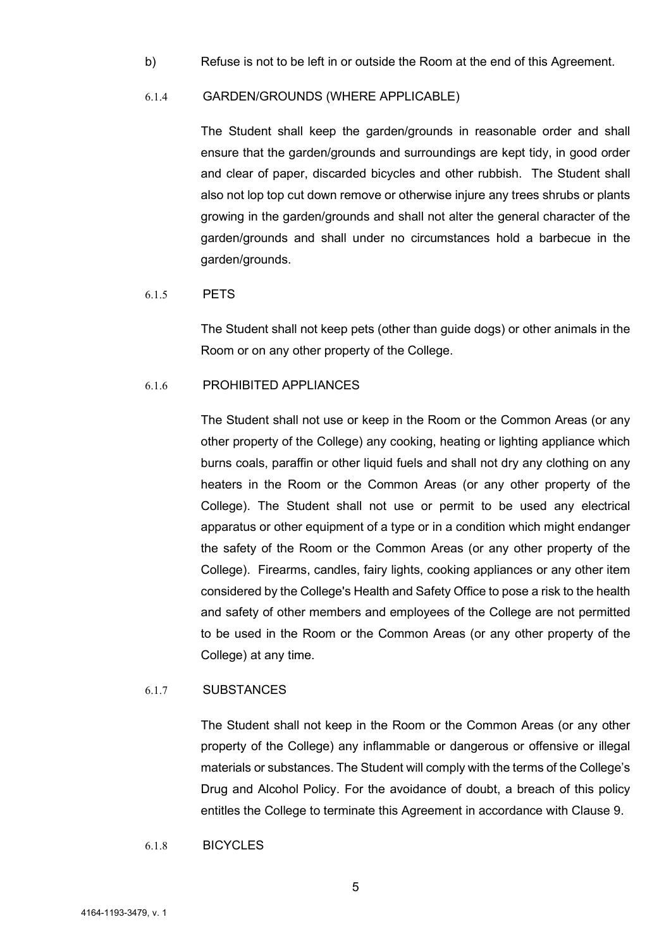b) Refuse is not to be left in or outside the Room at the end of this Agreement.

#### 6.1.4 GARDEN/GROUNDS (WHERE APPLICABLE)

The Student shall keep the garden/grounds in reasonable order and shall ensure that the garden/grounds and surroundings are kept tidy, in good order and clear of paper, discarded bicycles and other rubbish. The Student shall also not lop top cut down remove or otherwise injure any trees shrubs or plants growing in the garden/grounds and shall not alter the general character of the garden/grounds and shall under no circumstances hold a barbecue in the garden/grounds.

#### 6.1.5 PETS

The Student shall not keep pets (other than guide dogs) or other animals in the Room or on any other property of the College.

#### 6.1.6 PROHIBITED APPLIANCES

The Student shall not use or keep in the Room or the Common Areas (or any other property of the College) any cooking, heating or lighting appliance which burns coals, paraffin or other liquid fuels and shall not dry any clothing on any heaters in the Room or the Common Areas (or any other property of the College). The Student shall not use or permit to be used any electrical apparatus or other equipment of a type or in a condition which might endanger the safety of the Room or the Common Areas (or any other property of the College). Firearms, candles, fairy lights, cooking appliances or any other item considered by the College's Health and Safety Office to pose a risk to the health and safety of other members and employees of the College are not permitted to be used in the Room or the Common Areas (or any other property of the College) at any time.

#### 6.1.7 SUBSTANCES

The Student shall not keep in the Room or the Common Areas (or any other property of the College) any inflammable or dangerous or offensive or illegal materials or substances. The Student will comply with the terms of the College's Drug and Alcohol Policy. For the avoidance of doubt, a breach of this policy entitles the College to terminate this Agreement in accordance with Clause 9.

### 6.1.8 BICYCLES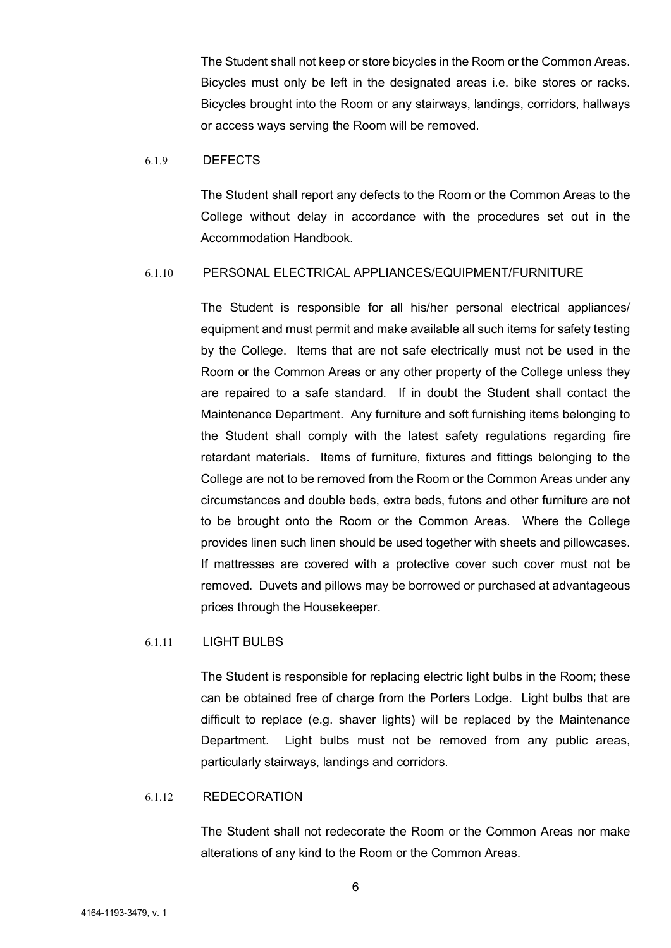The Student shall not keep or store bicycles in the Room or the Common Areas. Bicycles must only be left in the designated areas i.e. bike stores or racks. Bicycles brought into the Room or any stairways, landings, corridors, hallways or access ways serving the Room will be removed.

#### 6.1.9 DEFECTS

The Student shall report any defects to the Room or the Common Areas to the College without delay in accordance with the procedures set out in the Accommodation Handbook.

#### 6.1.10 PERSONAL ELECTRICAL APPLIANCES/EQUIPMENT/FURNITURE

The Student is responsible for all his/her personal electrical appliances/ equipment and must permit and make available all such items for safety testing by the College. Items that are not safe electrically must not be used in the Room or the Common Areas or any other property of the College unless they are repaired to a safe standard. If in doubt the Student shall contact the Maintenance Department. Any furniture and soft furnishing items belonging to the Student shall comply with the latest safety regulations regarding fire retardant materials. Items of furniture, fixtures and fittings belonging to the College are not to be removed from the Room or the Common Areas under any circumstances and double beds, extra beds, futons and other furniture are not to be brought onto the Room or the Common Areas. Where the College provides linen such linen should be used together with sheets and pillowcases. If mattresses are covered with a protective cover such cover must not be removed. Duvets and pillows may be borrowed or purchased at advantageous prices through the Housekeeper.

#### 6.1.11 LIGHT BULBS

The Student is responsible for replacing electric light bulbs in the Room; these can be obtained free of charge from the Porters Lodge. Light bulbs that are difficult to replace (e.g. shaver lights) will be replaced by the Maintenance Department. Light bulbs must not be removed from any public areas, particularly stairways, landings and corridors.

## 6.1.12 REDECORATION

The Student shall not redecorate the Room or the Common Areas nor make alterations of any kind to the Room or the Common Areas.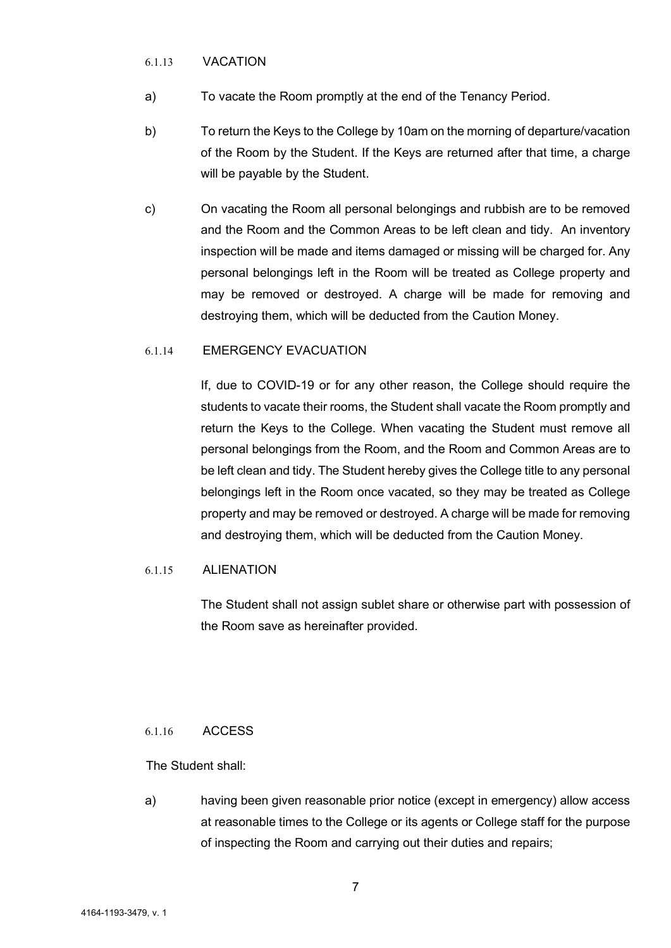#### 6.1.13 VACATION

- a) To vacate the Room promptly at the end of the Tenancy Period.
- b) To return the Keys to the College by 10am on the morning of departure/vacation of the Room by the Student. If the Keys are returned after that time, a charge will be payable by the Student.
- c) On vacating the Room all personal belongings and rubbish are to be removed and the Room and the Common Areas to be left clean and tidy. An inventory inspection will be made and items damaged or missing will be charged for. Any personal belongings left in the Room will be treated as College property and may be removed or destroyed. A charge will be made for removing and destroying them, which will be deducted from the Caution Money.

### 6.1.14 EMERGENCY EVACUATION

If, due to COVID-19 or for any other reason, the College should require the students to vacate their rooms, the Student shall vacate the Room promptly and return the Keys to the College. When vacating the Student must remove all personal belongings from the Room, and the Room and Common Areas are to be left clean and tidy. The Student hereby gives the College title to any personal belongings left in the Room once vacated, so they may be treated as College property and may be removed or destroyed. A charge will be made for removing and destroying them, which will be deducted from the Caution Money.

## 6.1.15 ALIENATION

The Student shall not assign sublet share or otherwise part with possession of the Room save as hereinafter provided.

## 6.1.16 ACCESS

The Student shall:

a) having been given reasonable prior notice (except in emergency) allow access at reasonable times to the College or its agents or College staff for the purpose of inspecting the Room and carrying out their duties and repairs;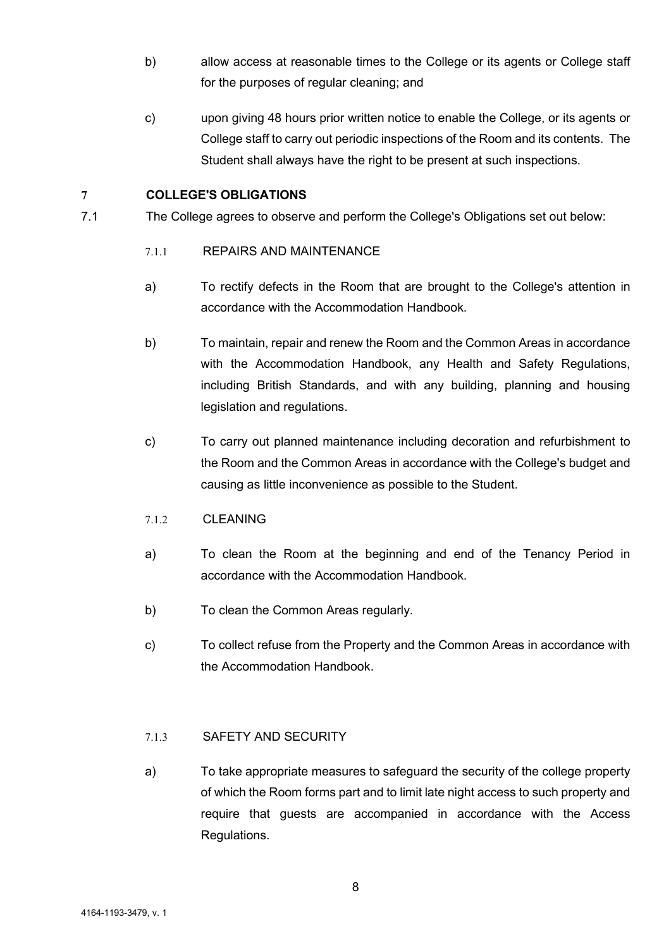- b) allow access at reasonable times to the College or its agents or College staff for the purposes of regular cleaning; and
- c) upon giving 48 hours prior written notice to enable the College, or its agents or College staff to carry out periodic inspections of the Room and its contents. The Student shall always have the right to be present at such inspections.

# 7 COLLEGE'S OBLIGATIONS

- 7.1 The College agrees to observe and perform the College's Obligations set out below:
	- 7.1.1 REPAIRS AND MAINTENANCE
	- a) To rectify defects in the Room that are brought to the College's attention in accordance with the Accommodation Handbook.
	- b) To maintain, repair and renew the Room and the Common Areas in accordance with the Accommodation Handbook, any Health and Safety Regulations, including British Standards, and with any building, planning and housing legislation and regulations.
	- c) To carry out planned maintenance including decoration and refurbishment to the Room and the Common Areas in accordance with the College's budget and causing as little inconvenience as possible to the Student.
	- 7.1.2 CLEANING
	- a) To clean the Room at the beginning and end of the Tenancy Period in accordance with the Accommodation Handbook.
	- b) To clean the Common Areas regularly.
	- c) To collect refuse from the Property and the Common Areas in accordance with the Accommodation Handbook.

## 7.1.3 SAFETY AND SECURITY

a) To take appropriate measures to safeguard the security of the college property of which the Room forms part and to limit late night access to such property and require that guests are accompanied in accordance with the Access Regulations.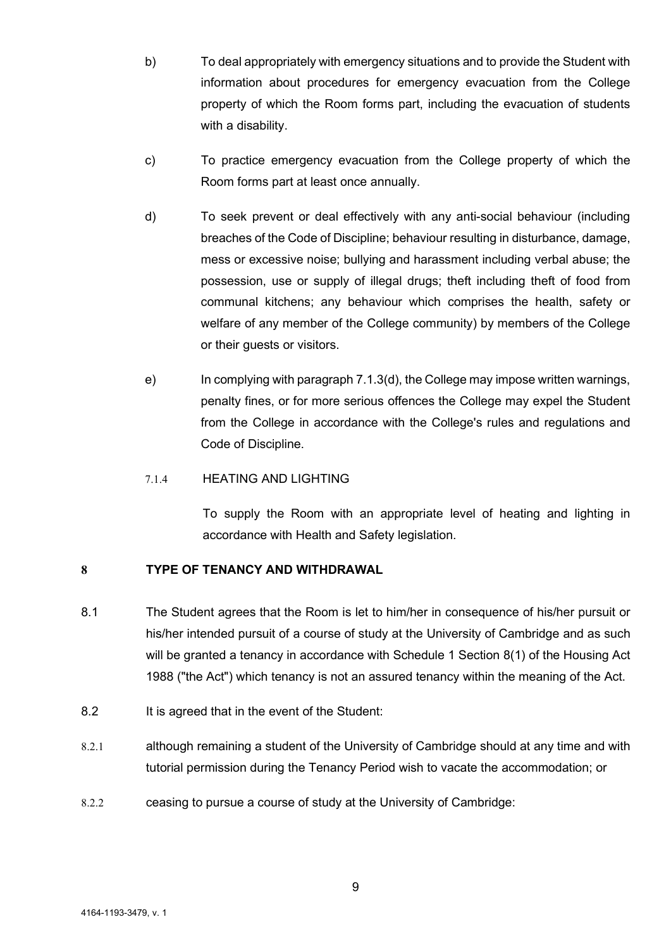- b) To deal appropriately with emergency situations and to provide the Student with information about procedures for emergency evacuation from the College property of which the Room forms part, including the evacuation of students with a disability.
- c) To practice emergency evacuation from the College property of which the Room forms part at least once annually.
- d) To seek prevent or deal effectively with any anti-social behaviour (including breaches of the Code of Discipline; behaviour resulting in disturbance, damage, mess or excessive noise; bullying and harassment including verbal abuse; the possession, use or supply of illegal drugs; theft including theft of food from communal kitchens; any behaviour which comprises the health, safety or welfare of any member of the College community) by members of the College or their guests or visitors.
- e) In complying with paragraph 7.1.3(d), the College may impose written warnings, penalty fines, or for more serious offences the College may expel the Student from the College in accordance with the College's rules and regulations and Code of Discipline.

# 7.1.4 HEATING AND LIGHTING

To supply the Room with an appropriate level of heating and lighting in accordance with Health and Safety legislation.

## 8 TYPE OF TENANCY AND WITHDRAWAL

- 8.1 The Student agrees that the Room is let to him/her in consequence of his/her pursuit or his/her intended pursuit of a course of study at the University of Cambridge and as such will be granted a tenancy in accordance with Schedule 1 Section 8(1) of the Housing Act 1988 ("the Act") which tenancy is not an assured tenancy within the meaning of the Act.
- 8.2 It is agreed that in the event of the Student:
- 8.2.1 although remaining a student of the University of Cambridge should at any time and with tutorial permission during the Tenancy Period wish to vacate the accommodation; or
- 8.2.2 ceasing to pursue a course of study at the University of Cambridge: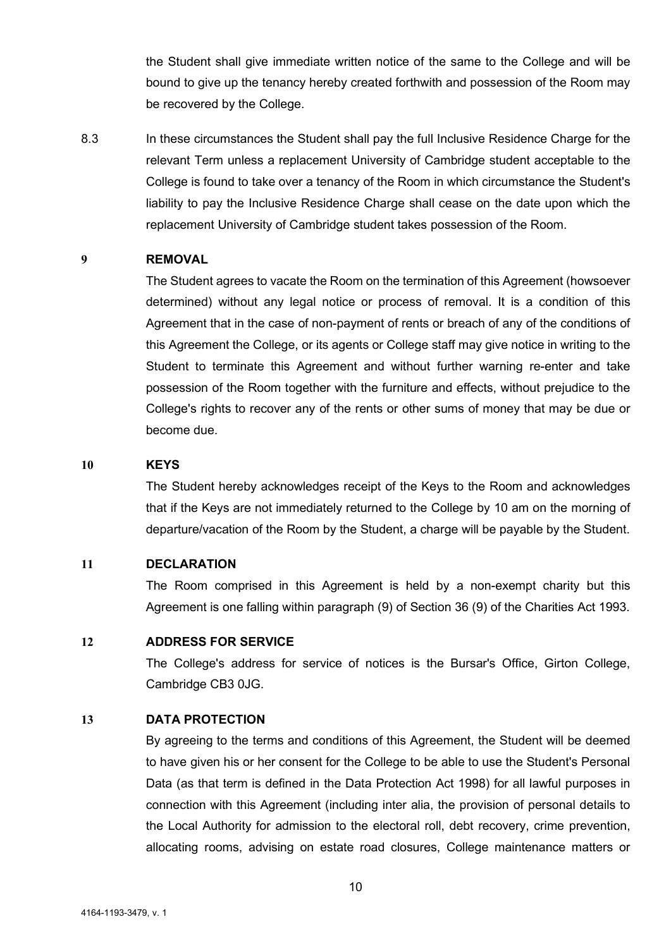the Student shall give immediate written notice of the same to the College and will be bound to give up the tenancy hereby created forthwith and possession of the Room may be recovered by the College.

8.3 In these circumstances the Student shall pay the full Inclusive Residence Charge for the relevant Term unless a replacement University of Cambridge student acceptable to the College is found to take over a tenancy of the Room in which circumstance the Student's liability to pay the Inclusive Residence Charge shall cease on the date upon which the replacement University of Cambridge student takes possession of the Room.

#### 9 REMOVAL

The Student agrees to vacate the Room on the termination of this Agreement (howsoever determined) without any legal notice or process of removal. It is a condition of this Agreement that in the case of non-payment of rents or breach of any of the conditions of this Agreement the College, or its agents or College staff may give notice in writing to the Student to terminate this Agreement and without further warning re-enter and take possession of the Room together with the furniture and effects, without prejudice to the College's rights to recover any of the rents or other sums of money that may be due or become due.

#### 10 KEYS

The Student hereby acknowledges receipt of the Keys to the Room and acknowledges that if the Keys are not immediately returned to the College by 10 am on the morning of departure/vacation of the Room by the Student, a charge will be payable by the Student.

### 11 DECLARATION

The Room comprised in this Agreement is held by a non-exempt charity but this Agreement is one falling within paragraph (9) of Section 36 (9) of the Charities Act 1993.

#### 12 ADDRESS FOR SERVICE

The College's address for service of notices is the Bursar's Office, Girton College, Cambridge CB3 0JG.

#### 13 DATA PROTECTION

By agreeing to the terms and conditions of this Agreement, the Student will be deemed to have given his or her consent for the College to be able to use the Student's Personal Data (as that term is defined in the Data Protection Act 1998) for all lawful purposes in connection with this Agreement (including inter alia, the provision of personal details to the Local Authority for admission to the electoral roll, debt recovery, crime prevention, allocating rooms, advising on estate road closures, College maintenance matters or